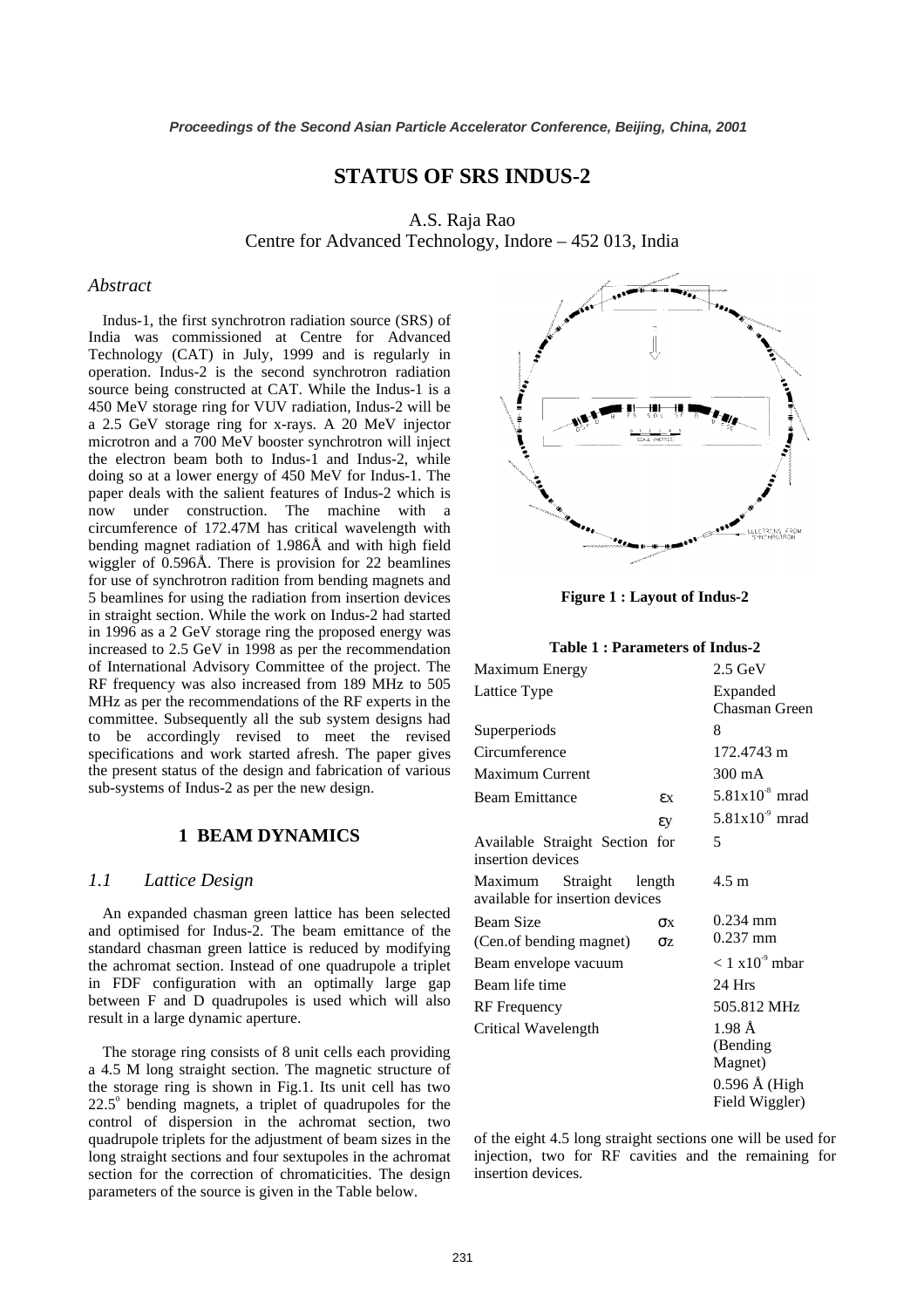# **STATUS OF SRS INDUS-2**

A.S. Raja Rao Centre for Advanced Technology, Indore – 452 013, India

#### *Abstract*

Indus-1, the first synchrotron radiation source (SRS) of India was commissioned at Centre for Advanced Technology (CAT) in July, 1999 and is regularly in operation. Indus-2 is the second synchrotron radiation source being constructed at CAT. While the Indus-1 is a 450 MeV storage ring for VUV radiation, Indus-2 will be a 2.5 GeV storage ring for x-rays. A 20 MeV injector microtron and a 700 MeV booster synchrotron will inject the electron beam both to Indus-1 and Indus-2, while doing so at a lower energy of 450 MeV for Indus-1. The paper deals with the salient features of Indus-2 which is now under construction. The machine with a circumference of 172.47M has critical wavelength with bending magnet radiation of 1.986Å and with high field wiggler of 0.596Å. There is provision for 22 beamlines for use of synchrotron radition from bending magnets and 5 beamlines for using the radiation from insertion devices in straight section. While the work on Indus-2 had started in 1996 as a 2 GeV storage ring the proposed energy was increased to 2.5 GeV in 1998 as per the recommendation of International Advisory Committee of the project. The RF frequency was also increased from 189 MHz to 505 MHz as per the recommendations of the RF experts in the committee. Subsequently all the sub system designs had to be accordingly revised to meet the revised specifications and work started afresh. The paper gives the present status of the design and fabrication of various sub-systems of Indus-2 as per the new design.

#### **1 BEAM DYNAMICS**

## *1.1 Lattice Design*

An expanded chasman green lattice has been selected and optimised for Indus-2. The beam emittance of the standard chasman green lattice is reduced by modifying the achromat section. Instead of one quadrupole a triplet in FDF configuration with an optimally large gap between F and D quadrupoles is used which will also result in a large dynamic aperture.

The storage ring consists of 8 unit cells each providing a 4.5 M long straight section. The magnetic structure of the storage ring is shown in Fig.1. Its unit cell has two  $22.5^\circ$  bending magnets, a triplet of quadrupoles for the control of dispersion in the achromat section, two quadrupole triplets for the adjustment of beam sizes in the long straight sections and four sextupoles in the achromat section for the correction of chromaticities. The design parameters of the source is given in the Table below.



**Figure 1 : Layout of Indus-2** 

#### **Table 1 : Parameters of Indus-2**

| Maximum Energy                                      |        | $2.5 \text{ GeV}$                       |
|-----------------------------------------------------|--------|-----------------------------------------|
| Lattice Type                                        |        | Expanded<br>Chasman Green               |
| Superperiods                                        |        | 8                                       |
| Circumference                                       |        | 172.4743 m                              |
| <b>Maximum Current</b>                              |        | 300 mA                                  |
| <b>Beam Emittance</b>                               | εx     | $5.81x10-8$ mrad                        |
|                                                     | εy     | $5.81x109$ mrad                         |
| Available Straight Section for<br>insertion devices |        | 5                                       |
| Maximum Straight<br>available for insertion devices | length | $4.5 \text{ m}$                         |
| <b>Beam Size</b>                                    | OХ     | $0.234$ mm<br>$0.237$ mm                |
| (Cen.of bending magnet)                             | σz     |                                         |
| Beam envelope vacuum                                |        | $< 1$ x10 <sup>-9</sup> mbar            |
| Beam life time                                      |        | 24 Hrs                                  |
| <b>RF</b> Frequency                                 |        | 505.812 MHz                             |
| Critical Wavelength                                 |        | $1.98 \text{ Å}$<br>(Bending<br>Magnet) |
|                                                     |        | $0.596$ Å (High<br>Field Wiggler)       |

of the eight 4.5 long straight sections one will be used for injection, two for RF cavities and the remaining for insertion devices.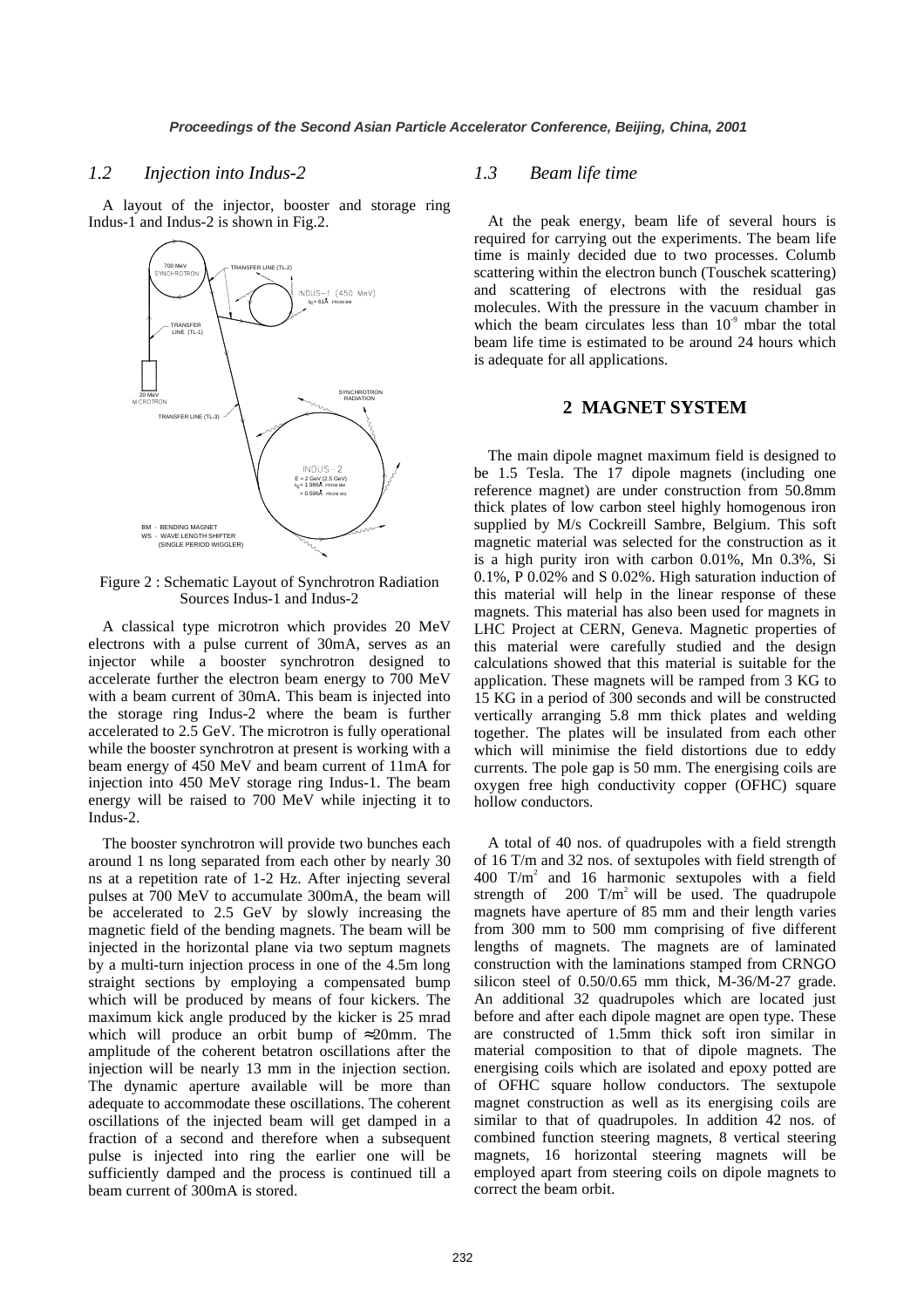#### *1.2 Injection into Indus-2*

A layout of the injector, booster and storage ring Indus-1 and Indus-2 is shown in Fig.2.



Figure 2 : Schematic Layout of Synchrotron Radiation Sources Indus-1 and Indus-2

A classical type microtron which provides 20 MeV electrons with a pulse current of 30mA, serves as an injector while a booster synchrotron designed to accelerate further the electron beam energy to 700 MeV with a beam current of 30mA. This beam is injected into the storage ring Indus-2 where the beam is further accelerated to 2.5 GeV. The microtron is fully operational while the booster synchrotron at present is working with a beam energy of 450 MeV and beam current of 11mA for injection into 450 MeV storage ring Indus-1. The beam energy will be raised to 700 MeV while injecting it to Indus-2.

The booster synchrotron will provide two bunches each around 1 ns long separated from each other by nearly 30 ns at a repetition rate of 1-2 Hz. After injecting several pulses at 700 MeV to accumulate 300mA, the beam will be accelerated to 2.5 GeV by slowly increasing the magnetic field of the bending magnets. The beam will be injected in the horizontal plane via two septum magnets by a multi-turn injection process in one of the 4.5m long straight sections by employing a compensated bump which will be produced by means of four kickers. The maximum kick angle produced by the kicker is 25 mrad which will produce an orbit bump of  $\approx 20$ mm. The amplitude of the coherent betatron oscillations after the injection will be nearly 13 mm in the injection section. The dynamic aperture available will be more than adequate to accommodate these oscillations. The coherent oscillations of the injected beam will get damped in a fraction of a second and therefore when a subsequent pulse is injected into ring the earlier one will be sufficiently damped and the process is continued till a beam current of 300mA is stored.

### *1.3 Beam life time*

At the peak energy, beam life of several hours is required for carrying out the experiments. The beam life time is mainly decided due to two processes. Columb scattering within the electron bunch (Touschek scattering) and scattering of electrons with the residual gas molecules. With the pressure in the vacuum chamber in which the beam circulates less than  $10<sup>9</sup>$  mbar the total beam life time is estimated to be around 24 hours which is adequate for all applications.

### **2 MAGNET SYSTEM**

The main dipole magnet maximum field is designed to be 1.5 Tesla. The 17 dipole magnets (including one reference magnet) are under construction from 50.8mm thick plates of low carbon steel highly homogenous iron supplied by M/s Cockreill Sambre, Belgium. This soft magnetic material was selected for the construction as it is a high purity iron with carbon 0.01%, Mn 0.3%, Si 0.1%, P 0.02% and S 0.02%. High saturation induction of this material will help in the linear response of these magnets. This material has also been used for magnets in LHC Project at CERN, Geneva. Magnetic properties of this material were carefully studied and the design calculations showed that this material is suitable for the application. These magnets will be ramped from 3 KG to 15 KG in a period of 300 seconds and will be constructed vertically arranging 5.8 mm thick plates and welding together. The plates will be insulated from each other which will minimise the field distortions due to eddy currents. The pole gap is 50 mm. The energising coils are oxygen free high conductivity copper (OFHC) square hollow conductors.

A total of 40 nos. of quadrupoles with a field strength of 16 T/m and 32 nos. of sextupoles with field strength of  $400$  T/m<sup>2</sup> and 16 harmonic sextupoles with a field strength of  $200$  T/m<sup>2</sup> will be used. The quadrupole magnets have aperture of 85 mm and their length varies from 300 mm to 500 mm comprising of five different lengths of magnets. The magnets are of laminated construction with the laminations stamped from CRNGO silicon steel of 0.50/0.65 mm thick, M-36/M-27 grade. An additional 32 quadrupoles which are located just before and after each dipole magnet are open type. These are constructed of 1.5mm thick soft iron similar in material composition to that of dipole magnets. The energising coils which are isolated and epoxy potted are of OFHC square hollow conductors. The sextupole magnet construction as well as its energising coils are similar to that of quadrupoles. In addition 42 nos. of combined function steering magnets, 8 vertical steering magnets, 16 horizontal steering magnets will be employed apart from steering coils on dipole magnets to correct the beam orbit.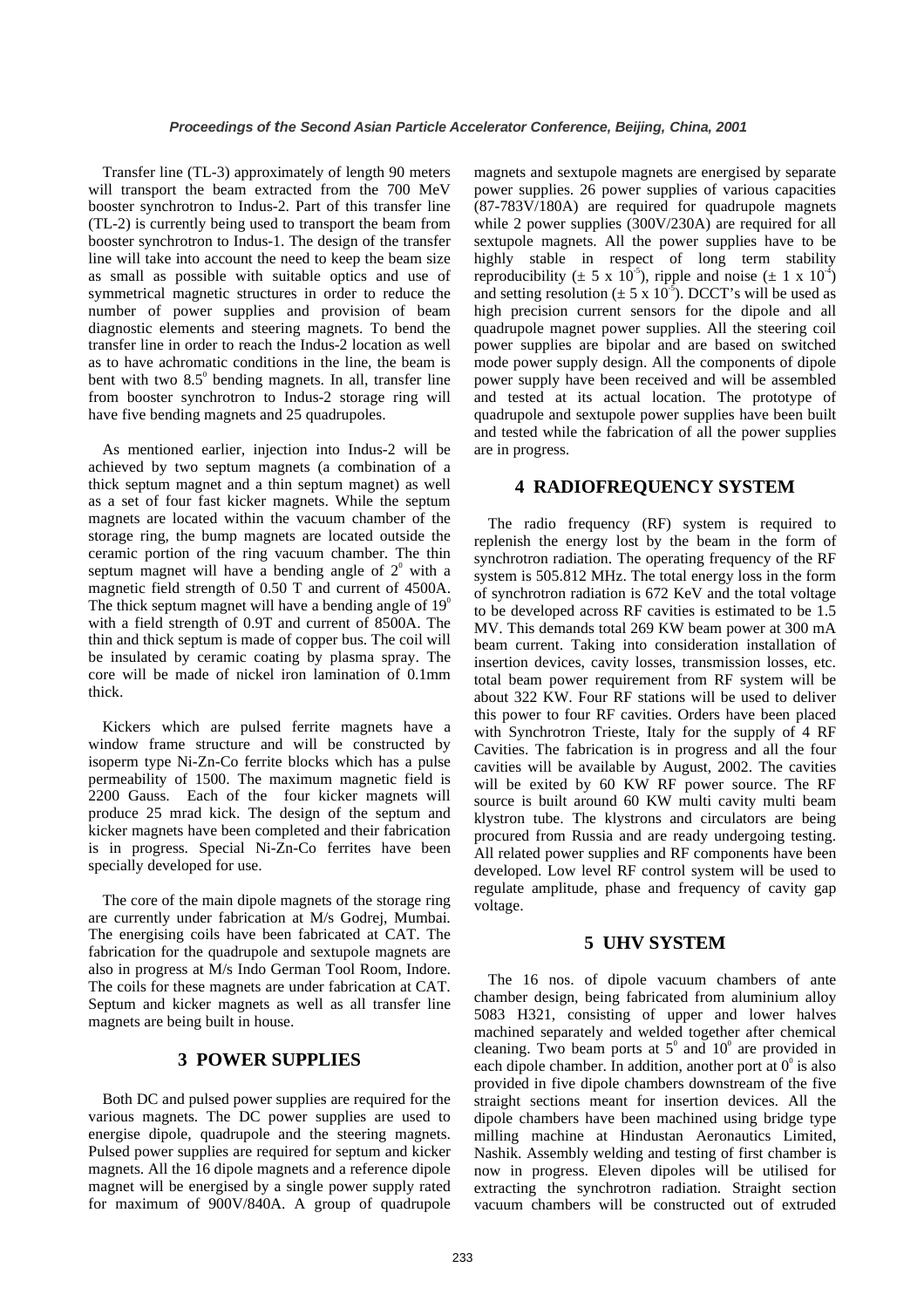Transfer line (TL-3) approximately of length 90 meters will transport the beam extracted from the 700 MeV booster synchrotron to Indus-2. Part of this transfer line (TL-2) is currently being used to transport the beam from booster synchrotron to Indus-1. The design of the transfer line will take into account the need to keep the beam size as small as possible with suitable optics and use of symmetrical magnetic structures in order to reduce the number of power supplies and provision of beam diagnostic elements and steering magnets. To bend the transfer line in order to reach the Indus-2 location as well as to have achromatic conditions in the line, the beam is bent with two  $8.5^\circ$  bending magnets. In all, transfer line from booster synchrotron to Indus-2 storage ring will have five bending magnets and 25 quadrupoles.

As mentioned earlier, injection into Indus-2 will be achieved by two septum magnets (a combination of a thick septum magnet and a thin septum magnet) as well as a set of four fast kicker magnets. While the septum magnets are located within the vacuum chamber of the storage ring, the bump magnets are located outside the ceramic portion of the ring vacuum chamber. The thin septum magnet will have a bending angle of  $2^{\circ}$  with a magnetic field strength of 0.50 T and current of 4500A. The thick septum magnet will have a bending angle of  $19^{\circ}$ with a field strength of 0.9T and current of 8500A. The thin and thick septum is made of copper bus. The coil will be insulated by ceramic coating by plasma spray. The core will be made of nickel iron lamination of 0.1mm thick.

Kickers which are pulsed ferrite magnets have a window frame structure and will be constructed by isoperm type Ni-Zn-Co ferrite blocks which has a pulse permeability of 1500. The maximum magnetic field is 2200 Gauss. Each of the four kicker magnets will produce 25 mrad kick. The design of the septum and kicker magnets have been completed and their fabrication is in progress. Special Ni-Zn-Co ferrites have been specially developed for use.

The core of the main dipole magnets of the storage ring are currently under fabrication at M/s Godrej, Mumbai. The energising coils have been fabricated at CAT. The fabrication for the quadrupole and sextupole magnets are also in progress at M/s Indo German Tool Room, Indore. The coils for these magnets are under fabrication at CAT. Septum and kicker magnets as well as all transfer line magnets are being built in house.

## **3 POWER SUPPLIES**

Both DC and pulsed power supplies are required for the various magnets. The DC power supplies are used to energise dipole, quadrupole and the steering magnets. Pulsed power supplies are required for septum and kicker magnets. All the 16 dipole magnets and a reference dipole magnet will be energised by a single power supply rated for maximum of 900V/840A. A group of quadrupole magnets and sextupole magnets are energised by separate power supplies. 26 power supplies of various capacities (87-783V/180A) are required for quadrupole magnets while 2 power supplies (300V/230A) are required for all sextupole magnets. All the power supplies have to be highly stable in respect of long term stability reproducibility ( $\pm$  5 x 10<sup>-5</sup>), ripple and noise ( $\pm$  1 x 10<sup>-4</sup>) and setting resolution ( $\pm$  5 x 10<sup>-5</sup>). DCCT's will be used as high precision current sensors for the dipole and all quadrupole magnet power supplies. All the steering coil power supplies are bipolar and are based on switched mode power supply design. All the components of dipole power supply have been received and will be assembled and tested at its actual location. The prototype of quadrupole and sextupole power supplies have been built and tested while the fabrication of all the power supplies are in progress.

## **4 RADIOFREQUENCY SYSTEM**

The radio frequency (RF) system is required to replenish the energy lost by the beam in the form of synchrotron radiation. The operating frequency of the RF system is 505.812 MHz. The total energy loss in the form of synchrotron radiation is 672 KeV and the total voltage to be developed across RF cavities is estimated to be 1.5 MV. This demands total 269 KW beam power at 300 mA beam current. Taking into consideration installation of insertion devices, cavity losses, transmission losses, etc. total beam power requirement from RF system will be about 322 KW. Four RF stations will be used to deliver this power to four RF cavities. Orders have been placed with Synchrotron Trieste, Italy for the supply of 4 RF Cavities. The fabrication is in progress and all the four cavities will be available by August, 2002. The cavities will be exited by 60 KW RF power source. The RF source is built around 60 KW multi cavity multi beam klystron tube. The klystrons and circulators are being procured from Russia and are ready undergoing testing. All related power supplies and RF components have been developed. Low level RF control system will be used to regulate amplitude, phase and frequency of cavity gap voltage.

## **5 UHV SYSTEM**

The 16 nos. of dipole vacuum chambers of ante chamber design, being fabricated from aluminium alloy 5083 H321, consisting of upper and lower halves machined separately and welded together after chemical cleaning. Two beam ports at  $5^{\circ}$  and  $10^{\circ}$  are provided in each dipole chamber. In addition, another port at  $0^{\circ}$  is also provided in five dipole chambers downstream of the five straight sections meant for insertion devices. All the dipole chambers have been machined using bridge type milling machine at Hindustan Aeronautics Limited, Nashik. Assembly welding and testing of first chamber is now in progress. Eleven dipoles will be utilised for extracting the synchrotron radiation. Straight section vacuum chambers will be constructed out of extruded